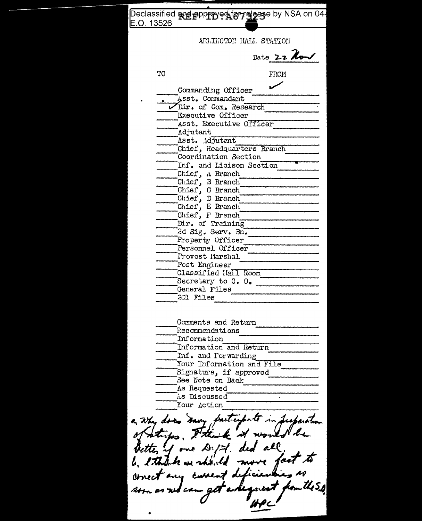| Declassified <b>and poppy eogget alges</b> by NSA on 04-<br>E.O. 13526                                                                                                             |
|------------------------------------------------------------------------------------------------------------------------------------------------------------------------------------|
| ARLIEGTON HALL STATION                                                                                                                                                             |
|                                                                                                                                                                                    |
| Date 22 Now                                                                                                                                                                        |
| TO<br>FROM                                                                                                                                                                         |
| Commanding Officer                                                                                                                                                                 |
| Asst. Commandant<br>Dir. of Com. Research                                                                                                                                          |
| Executive Officer                                                                                                                                                                  |
| Asst. Executive Officer                                                                                                                                                            |
| Adjutant                                                                                                                                                                           |
| Asst. Adjutant                                                                                                                                                                     |
| Chief, Headquarters Branch<br>Coordination Section                                                                                                                                 |
| Inf. and Liaison Section                                                                                                                                                           |
| Chief, A Branch                                                                                                                                                                    |
| Chief, B Branch                                                                                                                                                                    |
| Chief, C Branch                                                                                                                                                                    |
| Chief, D Branch                                                                                                                                                                    |
| Chief, E Branch<br>Chief, F Branch                                                                                                                                                 |
| Dir. of Training                                                                                                                                                                   |
| 2d Sig. Serv. Bn.                                                                                                                                                                  |
| Property Officer                                                                                                                                                                   |
| Personnel Officer                                                                                                                                                                  |
| Provost Harshal                                                                                                                                                                    |
| Post Engineer<br>Classified Hall Room                                                                                                                                              |
| Secretary to C. O.                                                                                                                                                                 |
| General Files                                                                                                                                                                      |
| 201 Files                                                                                                                                                                          |
|                                                                                                                                                                                    |
| Comments and Return<br>Recommendations                                                                                                                                             |
| Information                                                                                                                                                                        |
| Information and Return                                                                                                                                                             |
| Inf. and Porwarding                                                                                                                                                                |
| Your Information and File                                                                                                                                                          |
| Signature, if approved                                                                                                                                                             |
| .<br>See Note on Back<br>As Requested                                                                                                                                              |
| AS Discussed                                                                                                                                                                       |
| Your Action                                                                                                                                                                        |
| a why does navy participate<br>in Superator<br>of strikes. I think it was<br>etter of one Dept. ded all<br>a think we should move<br>concert any current deficients<br>ud cano get |
|                                                                                                                                                                                    |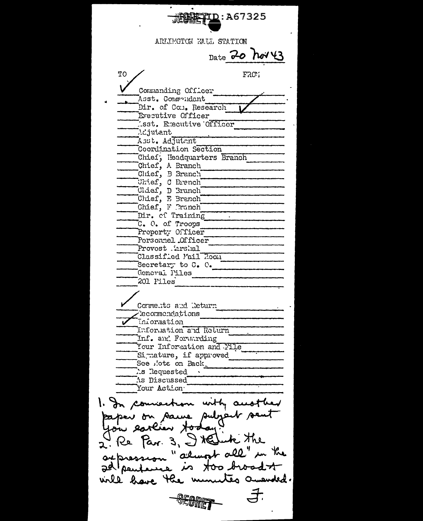辉华I<u>D</u>:A67325 ARLIMGTON MALL STATION Date 20 hov 43 **TO** FRO<sup>T</sup> Commanding Officer Asst. Commendant Dir. of Com. Research Executive Officer Isst. Executive Officer Adjutant Asst. Adjutant Coordination Section Chief; Headquarters Branch Chief, A Branch<br>Chief, B Branch Chief, C Branch Chief, D Branch Chief, F Pranch Dir. of Training  $\sim$ C. O. of Troops Property Officer Personnel Officer Provost Arshal Classified Mail Room Secretary to C. C. General Piles 201 Files Corrects and Return Cecommendations Taiormation Information and Relurn Inf. and Forwarding Your Information and File Simature, if approved See .'ote on Back Ts Requested As Discussed "Your Action" 1. In connection with anothe eaper on same subject sen Re Par. 3, I tellink the " alwark all" in the ackression is too broad t adlpenter etes amended. will have the m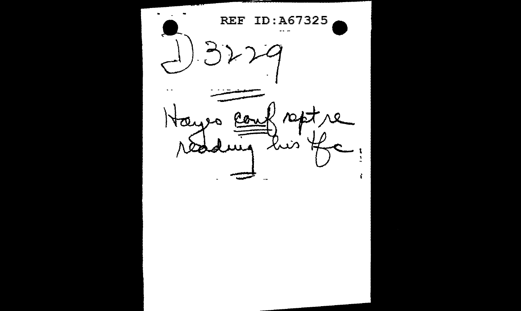**REF** ID:A67325  $- - \sum_{i=1}^{n}$ e.  $\mathcal{P}$  $\wedge$   $\circ$ con Tter tuis と ١  $\equiv$ ÷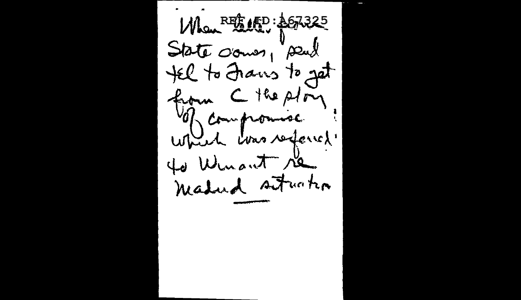Man REE APD: 467325 State crows, peut tel to Frans to get of compromise which was referred. to Winant re madud stucks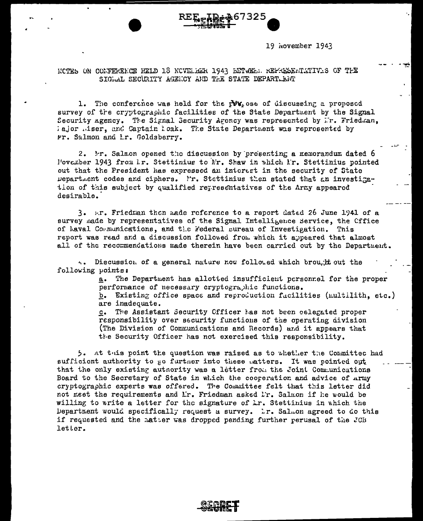

19 November 1943

NOTES ON CONFERENCE HELD 13 NOVELEER 1943 BETWEEN REPRESENTATIVES OF THE SIGWAL SECURITY AGENCY AND THE STATE DEPART. LNT

1. The conference was held for the  $r\mathbf{W}$ , ose of discussing a proposed survey of the cryptographic facilities of the State Department by the Signal Security Agency. The Signal Security Agency was represented by Ir. Friedman, lajor miser, and Captain loak. The State Department was reprosented by Mr. Salmon and Ir. Goldsberry.

2. Mr. Salmon opened the discussion by presenting a memorandum dated 6 Povember 1943 from I.r. Stettinius to Mr. Shaw in which I.r. Stettinius pointed out that the President has expressed an interest in the security of State Department codes and ciphers. I'r. Stettinius then stated that an investigation of this subject by qualified representatives of the Army appeared desirable.

3. Ar. Friedman then made reference to a report dated 26 June 1941 of a survey made by representatives of the Signal Intelligence Service, the Cffice of haval Communications, and the Federal sureau of Investigation. This report was read and a discussion followed from which it appeared that almost all of the recommendations made therein have been carried out by the Department.

4. Discussion of a general nature now folloued which brought out the following points:

> a. The Department has allotted insufficient personnel for the proper performance of necessary cryptographic functions. b. Existing office space and reproduction facilities (multilith, etc.)

> are inadequate.

The Assistant Security Cfficer has not been celegated proper  $c_{\bullet}$ responsibility over security functions of the operating division (The Division of Communications and Records) and it appears that the Security Officer has not exercised this responsibility.

5. At this point the question was raised as to whether the Committed had sufficient authority to go furtner into these matters. It was pointed out that the only existing autnority was a letter from the Joint Communications Board to the Secretary of State in which the cooperation and advice of Array cryptographic experts was offered. The Committee felt that this letter did not meet the requirements and Lr. Friedman asked Lr. Salmon if he would be willing to write a letter for the signature of Lr. Stettinius in which the Department would specifically request a survey. Lr. Salmon agreed to do this if requested and the matter was dropped pending further perusal of the JCB letter.